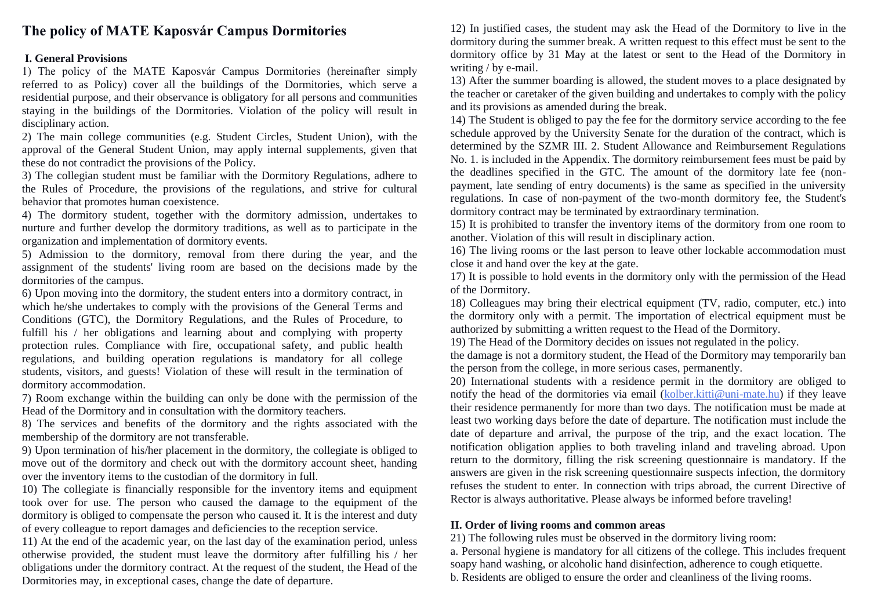# **The policy of MATE Kaposvár Campus Dormitories**

#### **I. General Provisions**

1) The policy of the MATE Kaposvár Campus Dormitories (hereinafter simply referred to as Policy) cover all the buildings of the Dormitories, which serve a residential purpose, and their observance is obligatory for all persons and communities staying in the buildings of the Dormitories. Violation of the policy will result in disciplinary action.

2) The main college communities (e.g. Student Circles, Student Union), with the approval of the General Student Union, may apply internal supplements, given that these do not contradict the provisions of the Policy.

3) The collegian student must be familiar with the Dormitory Regulations, adhere to the Rules of Procedure, the provisions of the regulations, and strive for cultural behavior that promotes human coexistence.

4) The dormitory student, together with the dormitory admission, undertakes to nurture and further develop the dormitory traditions, as well as to participate in the organization and implementation of dormitory events.

5) Admission to the dormitory, removal from there during the year, and the assignment of the students' living room are based on the decisions made by the dormitories of the campus.

6) Upon moving into the dormitory, the student enters into a dormitory contract, in which he/she undertakes to comply with the provisions of the General Terms and Conditions (GTC), the Dormitory Regulations, and the Rules of Procedure, to fulfill his / her obligations and learning about and complying with property protection rules. Compliance with fire, occupational safety, and public health regulations, and building operation regulations is mandatory for all college students, visitors, and guests! Violation of these will result in the termination of dormitory accommodation.

7) Room exchange within the building can only be done with the permission of the Head of the Dormitory and in consultation with the dormitory teachers.

8) The services and benefits of the dormitory and the rights associated with the membership of the dormitory are not transferable.

9) Upon termination of his/her placement in the dormitory, the collegiate is obliged to move out of the dormitory and check out with the dormitory account sheet, handing over the inventory items to the custodian of the dormitory in full.

10) The collegiate is financially responsible for the inventory items and equipment took over for use. The person who caused the damage to the equipment of the dormitory is obliged to compensate the person who caused it. It is the interest and duty of every colleague to report damages and deficiencies to the reception service.

11) At the end of the academic year, on the last day of the examination period, unless otherwise provided, the student must leave the dormitory after fulfilling his / her obligations under the dormitory contract. At the request of the student, the Head of the Dormitories may, in exceptional cases, change the date of departure.

12) In justified cases, the student may ask the Head of the Dormitory to live in the dormitory during the summer break. A written request to this effect must be sent to the dormitory office by 31 May at the latest or sent to the Head of the Dormitory in writing / by e-mail.

13) After the summer boarding is allowed, the student moves to a place designated by the teacher or caretaker of the given building and undertakes to comply with the policy and its provisions as amended during the break.

14) The Student is obliged to pay the fee for the dormitory service according to the fee schedule approved by the University Senate for the duration of the contract, which is determined by the SZMR III. 2. Student Allowance and Reimbursement Regulations No. 1. is included in the Appendix. The dormitory reimbursement fees must be paid by the deadlines specified in the GTC. The amount of the dormitory late fee (nonpayment, late sending of entry documents) is the same as specified in the university regulations. In case of non-payment of the two-month dormitory fee, the Student's dormitory contract may be terminated by extraordinary termination.

15) It is prohibited to transfer the inventory items of the dormitory from one room to another. Violation of this will result in disciplinary action.

16) The living rooms or the last person to leave other lockable accommodation must close it and hand over the key at the gate.

17) It is possible to hold events in the dormitory only with the permission of the Head of the Dormitory.

18) Colleagues may bring their electrical equipment (TV, radio, computer, etc.) into the dormitory only with a permit. The importation of electrical equipment must be authorized by submitting a written request to the Head of the Dormitory.

19) The Head of the Dormitory decides on issues not regulated in the policy.

the damage is not a dormitory student, the Head of the Dormitory may temporarily ban the person from the college, in more serious cases, permanently.

20) International students with a residence permit in the dormitory are obliged to notify the head of the dormitories via email [\(kolber.kitti@uni-mate.hu\)](mailto:kolber.kitti@uni-mate.hu) if they leave their residence permanently for more than two days. The notification must be made at least two working days before the date of departure. The notification must include the date of departure and arrival, the purpose of the trip, and the exact location. The notification obligation applies to both traveling inland and traveling abroad. Upon return to the dormitory, filling the risk screening questionnaire is mandatory. If the answers are given in the risk screening questionnaire suspects infection, the dormitory refuses the student to enter. In connection with trips abroad, the current Directive of Rector is always authoritative. Please always be informed before traveling!

#### **II. Order of living rooms and common areas**

21) The following rules must be observed in the dormitory living room: a. Personal hygiene is mandatory for all citizens of the college. This includes frequent soapy hand washing, or alcoholic hand disinfection, adherence to cough etiquette. b. Residents are obliged to ensure the order and cleanliness of the living rooms.